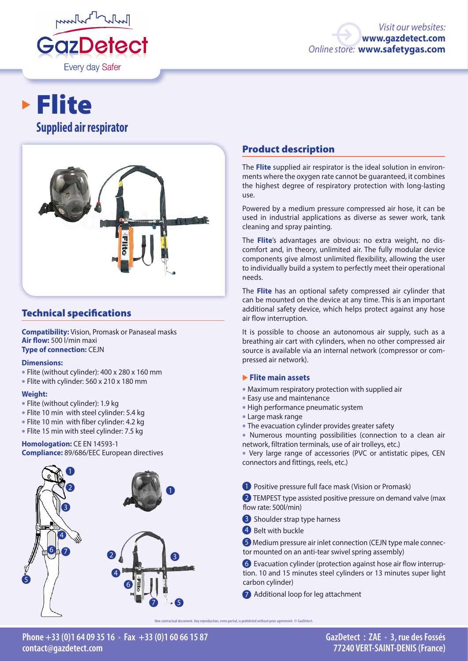

# **Supplied air respirator** Flite



## Technical specifications

**Compatibility:** Vision, Promask or Panaseal masks **Air flow:** 500 l/min maxi **Type of connection:** CEJN

#### **Dimensions:**

- Flite (without cylinder): 400 x 280 x 160 mm
- Flite with cylinder: 560 x 210 x 180 mm

#### **Weight:**

- Flite (without cylinder): 1.9 kg
- Flite 10 min with steel cylinder: 5.4 kg
- Flite 10 min with fiber cylinder: 4.2 kg
- Flite 15 min with steel cylinder: 7.5 kg

# **Homologation:** CE EN 14593-1

**Compliance:** 89/686/EEC European directives



#### Product description

The **Flite** supplied air respirator is the ideal solution in environments where the oxygen rate cannot be guaranteed, it combines the highest degree of respiratory protection with long-lasting use.

Powered by a medium pressure compressed air hose, it can be used in industrial applications as diverse as sewer work, tank cleaning and spray painting.

The **Flite**'s advantages are obvious: no extra weight, no discomfort and, in theory, unlimited air. The fully modular device components give almost unlimited flexibility, allowing the user to individually build a system to perfectly meet their operational needs.

The **Flite** has an optional safety compressed air cylinder that can be mounted on the device at any time. This is an important additional safety device, which helps protect against any hose air flow interruption.

It is possible to choose an autonomous air supply, such as a breathing air cart with cylinders, when no other compressed air source is available via an internal network (compressor or compressed air network).

#### � **Flite main assets**

- Maximum respiratory protection with supplied air
- Easy use and maintenance
- High performance pneumatic system
- Large mask range
- The evacuation cylinder provides greater safety
- Numerous mounting possibilities (connection to a clean air network, filtration terminals, use of air trolleys, etc.)
- Very large range of accessories (PVC or antistatic pipes, CEN connectors and fittings, reels, etc.)
- **1** Positive pressure full face mask (Vision or Promask)

2 TEMPEST type assisted positive pressure on demand valve (max flow rate: 500l/min)

- **3** Shoulder strap type harness
- 4 Belt with buckle

**5** Medium pressure air inlet connection (CEJN type male connector mounted on an anti-tear swivel spring assembly)

6 Evacuation cylinder (protection against hose air flow interruption. 10 and 15 minutes steel cylinders or 13 minutes super light carbon cylinder)

7 Additional loop for leg attachment